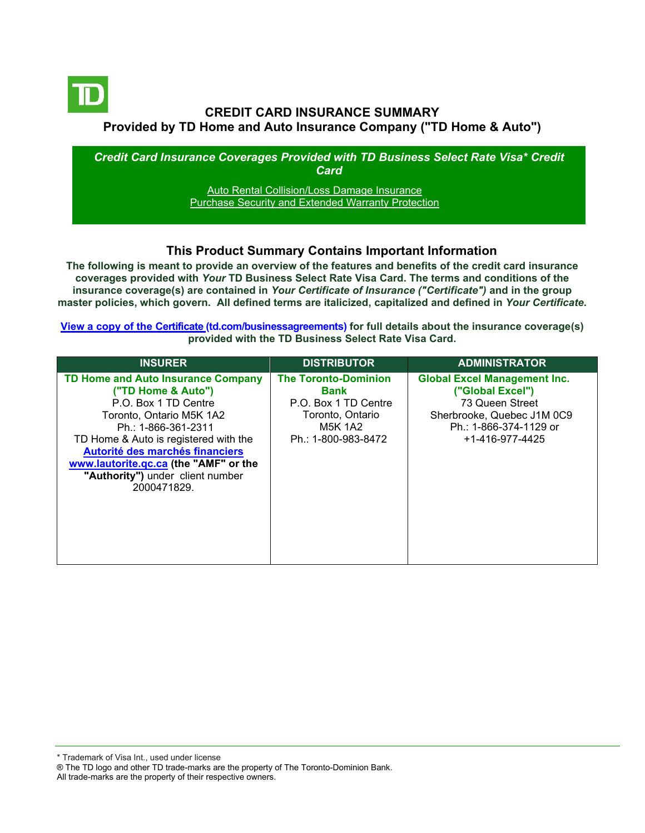

# **CREDIT CARD INSURANCE SUMMARY Provided by TD Home and Auto Insurance Company ("TD Home & Auto")**

*Credit Card Insurance Coverages Provided with TD Business Select Rate Visa\* Credit Card*

> [Auto Rental Collision/Loss Damage Insurance](#page-3-0) [Purchase Security and Extended Warranty Protection](#page-4-0)

### **This Product Summary Contains Important Information**

**The following is meant to provide an overview of the features and benefits of the credit card insurance coverages provided with** *Your* **TD Business Select Rate Visa Card. The terms and conditions of the insurance coverage(s) are contained in** *Your Certificate of Insurance ("Certificate")* **and in the group master policies, which govern. All defined terms are italicized, capitalized and defined in** *Your Certificate***.**

**[View a copy of the Certificate](https://www.td.com/ca/en/business-banking/how-to/manage-my-business-credit-card/getting-started/) (td.com/businessagreements) for full details about the insurance coverage(s) provided with the TD Business Select Rate Visa Card.**

\* Trademark of Visa Int., used under license

All trade-marks are the property of their respective owners.

<sup>®</sup> The TD logo and other TD trade-marks are the property of The Toronto-Dominion Bank.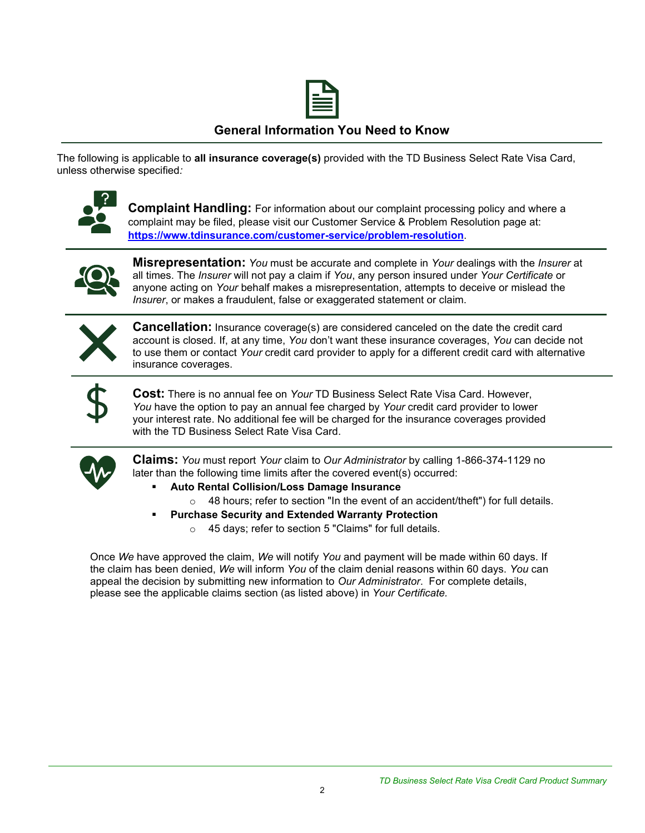

### **General Information You Need to Know**

The following is applicable to **all insurance coverage(s)** provided with the TD Business Select Rate Visa Card, unless otherwise specified*:*



**Complaint Handling:** For information about our complaint processing policy and where a complaint may be filed, please visit our Customer Service & Problem Resolution page at: **<https://www.tdinsurance.com/customer-service/problem-resolution>**.



**Misrepresentation:** *You* must be accurate and complete in *Your* dealings with the *Insurer* at all times. The *Insurer* will not pay a claim if *You*, any person insured under *Your Certificate* or anyone acting on *Your* behalf makes a misrepresentation, attempts to deceive or mislead the *Insurer*, or makes a fraudulent, false or exaggerated statement or claim.



**Cancellation:** Insurance coverage(s) are considered canceled on the date the credit card account is closed. If, at any time, *You* don't want these insurance coverages, *You* can decide not to use them or contact *Your* credit card provider to apply for a different credit card with alternative insurance coverages.



**Cost:** There is no annual fee on *Your* TD Business Select Rate Visa Card. However, *You* have the option to pay an annual fee charged by *Your* credit card provider to lower your interest rate. No additional fee will be charged for the insurance coverages provided with the TD Business Select Rate Visa Card.



**Claims:** *You* must report *Your* claim to *Our Administrator* by calling 1-866-374-1129 no later than the following time limits after the covered event(s) occurred:

- **Auto Rental Collision/Loss Damage Insurance** 
	- o 48 hours; refer to section "In the event of an accident/theft") for full details.
- **Purchase Security and Extended Warranty Protection** 
	- o 45 days; refer to section 5 "Claims" for full details.

Once *We* have approved the claim, *We* will notify *You* and payment will be made within 60 days. If the claim has been denied, *We* will inform *You* of the claim denial reasons within 60 days. *You* can appeal the decision by submitting new information to *Our Administrator*. For complete details, please see the applicable claims section (as listed above) in *Your Certificate.*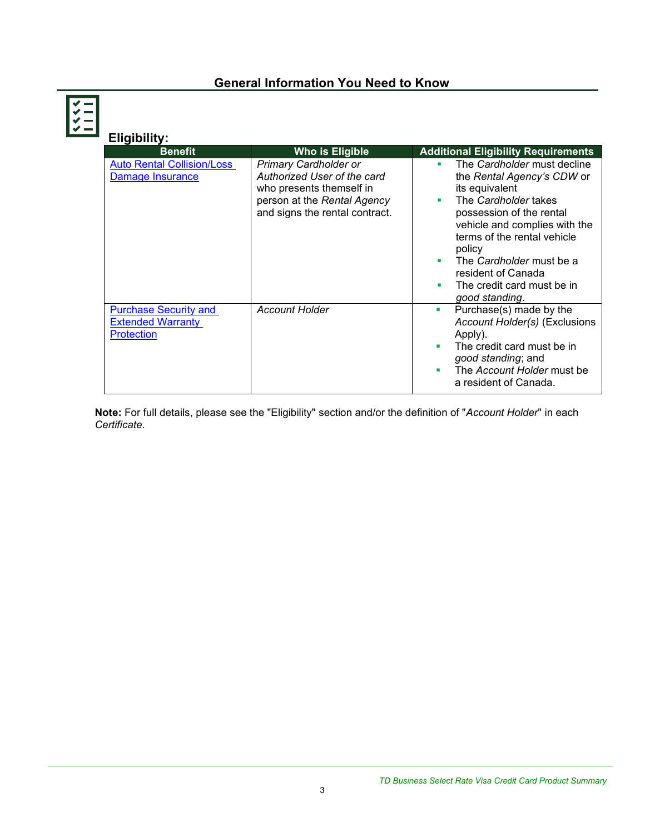# **General Information You Need to Know**

| <b>Eligibility:</b>                                                           |                                                                                                                                                          |                                                                                                                                                                                                                                                                                                                            |
|-------------------------------------------------------------------------------|----------------------------------------------------------------------------------------------------------------------------------------------------------|----------------------------------------------------------------------------------------------------------------------------------------------------------------------------------------------------------------------------------------------------------------------------------------------------------------------------|
| <b>Benefit</b>                                                                | Who is Eligible                                                                                                                                          | <b>Additional Eligibility Requirements</b>                                                                                                                                                                                                                                                                                 |
| <b>Auto Rental Collision/Loss</b><br>Damage Insurance                         | <b>Primary Cardholder or</b><br>Authorized User of the card<br>who presents themself in<br>person at the Rental Agency<br>and signs the rental contract. | The Cardholder must decline<br>٠<br>the Rental Agency's CDW or<br>its equivalent<br>The Cardholder takes<br>٠<br>possession of the rental<br>vehicle and complies with the<br>terms of the rental vehicle<br>policy<br>The Cardholder must be a<br>resident of Canada<br>The credit card must be in<br>٠<br>qood standing. |
| <b>Purchase Security and</b><br><b>Extended Warranty</b><br><b>Protection</b> | <b>Account Holder</b>                                                                                                                                    | Purchase(s) made by the<br>ш<br>Account Holder(s) (Exclusions<br>Apply).<br>The credit card must be in<br>good standing; and<br>The Account Holder must be<br>a resident of Canada.                                                                                                                                        |

**Note:** For full details, please see the "Eligibility" section and/or the definition of "*Account Holder*" in each *Certificate*.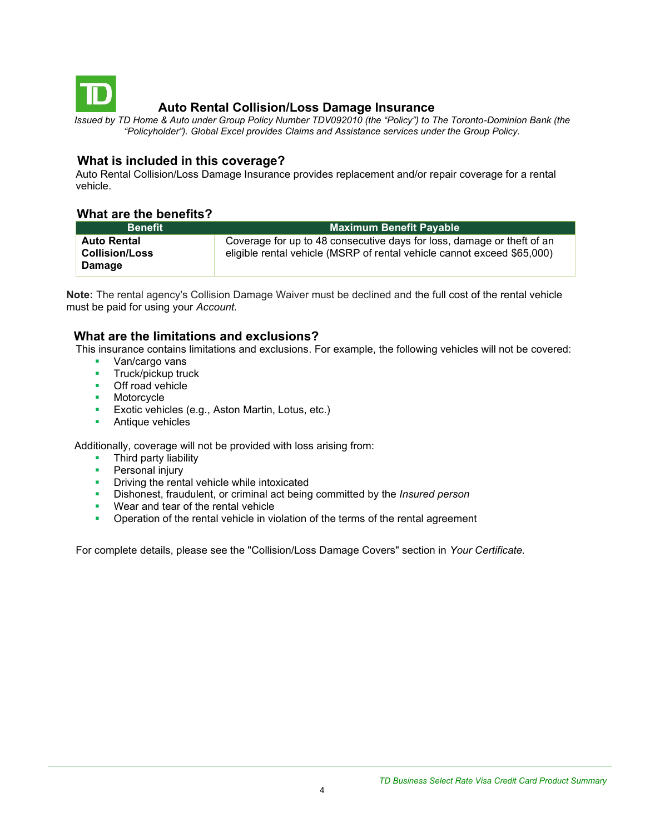<span id="page-3-0"></span>

# **Auto Rental Collision/Loss Damage Insurance**

*Issued by TD Home & Auto under Group Policy Number TDV092010 (the "Policy") to The Toronto-Dominion Bank (the "Policyholder"). Global Excel provides Claims and Assistance services under the Group Policy.*

### **What is included in this coverage?**

Auto Rental Collision/Loss Damage Insurance provides replacement and/or repair coverage for a rental vehicle.

#### **What are the benefits?**

| <b>Benefit</b>                                        | Maximum Benefit Payable                                                                                                                           |
|-------------------------------------------------------|---------------------------------------------------------------------------------------------------------------------------------------------------|
| <b>Auto Rental</b><br><b>Collision/Loss</b><br>Damage | Coverage for up to 48 consecutive days for loss, damage or theft of an<br>eligible rental vehicle (MSRP of rental vehicle cannot exceed \$65,000) |

**Note:** The rental agency's Collision Damage Waiver must be declined and the full cost of the rental vehicle must be paid for using your *Account.*

### **What are the limitations and exclusions?**

This insurance contains limitations and exclusions. For example, the following vehicles will not be covered:

- Van/cargo vans
- **■** Truck/pickup truck
- Off road vehicle
- Motorcycle
- **Exotic vehicles (e.g., Aston Martin, Lotus, etc.)**
- Antique vehicles

Additionally, coverage will not be provided with loss arising from:

- Third party liability
- **•** Personal injury
- **•** Driving the rental vehicle while intoxicated
- Dishonest, fraudulent, or criminal act being committed by the *Insured person*
- Wear and tear of the rental vehicle
- **•** Operation of the rental vehicle in violation of the terms of the rental agreement

For complete details, please see the "Collision/Loss Damage Covers" section in *Your Certificate.*